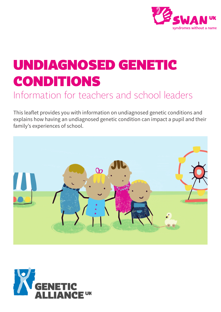

# **UNDIAGNOSED GENETIC CONDITIONS**  Information for teachers and school leaders

This leaflet provides you with information on undiagnosed genetic conditions and explains how having an undiagnosed genetic condition can impact a pupil and their family's experiences of school.



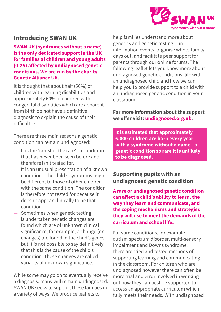

### **Introducing SWAN UK**

**SWAN UK (syndromes without a name) is the only dedicated support in the UK for families of children and young adults (0-25) affected by undiagnosed genetic conditions. We are run by the charity Genetic Alliance UK.**

It is thought that about half (50%) of children with learning disabilities and approximately 60% of children with congenital disabilities which are apparent from birth do not have a definitive diagnosis to explain the cause of their difficulties.

There are three main reasons a genetic condition can remain undiagnosed:

- It is the 'rarest of the rare'– a condition that has never been seen before and therefore isn't tested for.
- It is an unusual presentation of a known condition – the child's symptoms might be different to those of other children with the same condition. The condition is therefore not tested for because it doesn't appear clinically to be that condition.
- Sometimes when genetic testing is undertaken genetic changes are found which are of unknown clinical significance, for example, a change (or changes) are found in the child's genes but it is not possible to say definitively that this is the cause of the child's condition. These changes are called variants of unknown significance.

While some may go on to eventually receive a diagnosis, many will remain undiagnosed. SWAN UK seeks to support these families in a variety of ways. We produce leaflets to

help families understand more about genetics and genetic testing, run information events, organise whole-family days out, and facilitate peer support for parents through our online forums. The following leaflet lets you know more about undiagnosed genetic conditions, life with an undiagnosed child and how we can help you to provide support to a child with an undiagnosed genetic condition in your classroom.

**For more information about the support we offer visit: undiagnosed.org.uk.**

**It is estimated that approximately 6,000 children are born every year with a syndrome without a name - a genetic condition so rare it is unlikely to be diagnosed.** 

**Supporting pupils with an undiagnosed genetic condition**

**A rare or undiagnosed genetic condition can affect a child's ability to learn, the way they learn and communicate, and the coping mechanisms and strategies they will use to meet the demands of the curriculum and school life.**

For some conditions, for example autism spectrum disorder, multi-sensory impairment and Downs syndrome, there are tried and tested methods of supporting learning and communicating in the classroom. For children who are undiagnosed however there can often be more trial and error involved in working out how they can best be supported to access an appropriate curriculum which fully meets their needs. With undiagnosed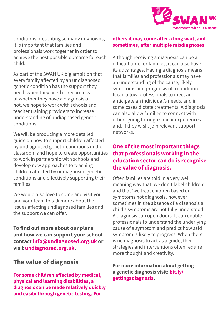

conditions presenting so many unknowns, it is important that families and professionals work together in order to achieve the best possible outcome for each child.

As part of the SWAN UK big ambition that every family affected by an undiagnosed genetic condition has the support they need, when they need it, regardless of whether they have a diagnosis or not, we hope to work with schools and teacher training providers to increase understanding of undiagnosed genetic conditions.

We will be producing a more detailed guide on how to support children affected by undiagnosed genetic conditions in the classroom and hope to create opportunities to work in partnership with schools and develop new approaches to teaching children affected by undiagnosed genetic conditions and effectively supporting their families.

We would also love to come and visit you and your team to talk more about the issues affecting undiagnosed families and the support we can offer.

**To find out more about our plans and how we can support your school contact info@undiagnosed.org.uk or visit undiagnosed.org.uk.**

### **The value of diagnosis**

**For some children affected by medical, physical and learning disabilities, a diagnosis can be made relatively quickly and easily through genetic testing. For** 

### **others it may come after a long wait, and sometimes, after multiple misdiagnoses.**

Although receiving a diagnosis can be a difficult time for families, it can also have its advantages. Having a diagnosis means that families and professionals may have an understanding of the cause, likely symptoms and prognosis of a condition. It can allow professionals to meet and anticipate an individual's needs, and in some cases dictate treatments. A diagnosis can also allow families to connect with others going through similar experiences and, if they wish, join relevant support networks.

### **One of the most important things that professionals working in the education sector can do is recognise the value of diagnosis.**

Often families are told in a very well meaning way that 'we don't label children' and that 'we treat children based on symptoms not diagnosis', however sometimes in the absence of a diagnosis a child's symptoms are not fully understood. A diagnosis can open doors. It can enable professionals to understand the underlying cause of a symptom and predict how said symptom is likely to progress. When there is no diagnosis to act as a guide, then strategies and interventions often require more thought and creativity.

**For more information about getting a genetic diagnosis visit: bit.ly/ gettingadiagnosis.**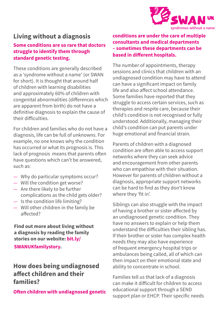

# **Living without a diagnosis**

### **Some conditions are so rare that doctors struggle to identify them through standard genetic testing.**

These conditions are generally described as a 'syndrome without a name' (or SWAN for short). It is thought that around half of children with learning disabilities and approximately 60% of children with congenital abnormalities (differences which are apparent from birth) do not have a definitive diagnosis to explain the cause of their difficulties.

For children and families who do not have a diagnosis, life can be full of unknowns. For example, no one knows why the condition has occurred or what its prognosis is. This lack of prognosis means that parents often have questions which can't be answered, such as:

- Why do particular symptoms occur?
- Will the condition get worse?
- Are there likely to be further complications as the child gets older?
- Is the condition life limiting?
- Will other children in the family be affected?

**Find out more about living without a diagnosis by reading the family stories on our website: bit.ly/**

**SWANUKfamilystory.**

## **How does being undiagnosed affect children and their families?**

**Often children with undiagnosed genetic** 

### **conditions are under the care of multiple consultants and medical departments – sometimes these departments can be based in different hospitals.**

The number of appointments, therapy sessions and clinics that children with an undiagnosed condition may have to attend can have a significant impact on family life and also affect school attendance. Some families have reported that they struggle to access certain services, such as therapies and respite care, because their child's condition is not recognised or fully understood. Additionally, managing their child's condition can put parents under huge emotional and financial strain.

Parents of children with a diagnosed condition are often able to access support networks where they can seek advice and encouragement from other parents who can empathise with their situation. However for parents of children without a diagnosis, appropriate support networks can be hard to find as they don't know where they 'fit in'.

Siblings can also struggle with the impact of having a brother or sister affected by an undiagnosed genetic condition. They have no answers to explain or help them understand the difficulties their sibling has. If their brother or sister has complex health needs they may also have experience of frequent emergency hospital trips or ambulances being called, all of which can then impact on their emotional state and ability to concentrate in school.

Families tell us that lack of a diagnosis can make it difficult for children to access educational support through a SEND support plan or EHCP. Their specific needs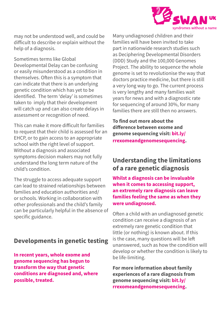

may not be understood well, and could be difficult to describe or explain without the help of a diagnosis.

Sometimes terms like Global Developmental Delay can be confusing or easily misunderstood as a condition in themselves. Often this is a symptom that can indicate that there is an underlying genetic condition which has yet to be identified. The term 'delay' is sometimes taken to imply that their development will catch up and can also create delays in assessment or recognition of need.

This can make it more difficult for families to request that their child is assessed for an EHCP, or to gain access to an appropriate school with the right level of support. Without a diagnosis and associated symptoms decision makers may not fully understand the long term nature of the child's condition.

The struggle to access adequate support can lead to strained relationships between families and education authorities and/ or schools. Working in collaboration with other professionals and the child's family can be particularly helpful in the absence of specific guidance.

### **Developments in genetic testing**

**In recent years, whole exome and genome sequencing has begun to transform the way that genetic conditions are diagnosed and, where possible, treated.** 

Many undiagnosed children and their families will have been invited to take part in nationwide research studies such as Deciphering Developmental Disorders (DDD) Study and the 100,000 Genomes Project. The ability to sequence the whole genome is set to revolutionise the way that doctors practice medicine, but there is still a very long way to go. The current process is very lengthy and many families wait years for news and with a diagnostic rate for sequencing of around 30%, for many families there are still then no answers.

**To find out more about the difference between exome and genome sequencing visit: bit.ly/ rrexomeandgenomesequencing.**

## **Understanding the limitations of a rare genetic diagnosis**

**Whilst a diagnosis can be invaluable when it comes to accessing support, an extremely rare diagnosis can leave families feeling the same as when they were undiagnosed.**

Often a child with an undiagnosed genetic condition can receive a diagnosis of an extremely rare genetic condition that little (or nothing) is known about. If this is the case, many questions will be left unanswered, such as how the condition will develop or whether the condition is likely to be life-limiting.

**For more information about family experiences of a rare diagnosis from genome sequencing visit: bit.ly/ rrexomeandgenomesequencing.**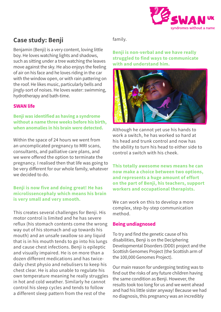

# **Case study: Benji**

Benjamin (Benji) is a very content, loving little boy. He loves watching lights and shadows, such as sitting under a tree watching the leaves move against the sky. He also enjoys the feeling of air on his face and he loves riding in the car with the window open, or with rain pattering on the roof. He likes music, particularly bells and jingly-sort of noises. He loves water: swimming, hydrotherapy and bath-time.

### **SWAN life**

**Benji was identified as having a syndrome without a name three weeks before his birth, when anomalies in his brain were detected.** 

Within the space of 24 hours we went from an uncomplicated pregnancy to MRI scans, consultants, and palliative care plans, and we were offered the option to terminate the pregnancy. I realised then that life was going to be very different for our whole family, whatever we decided to do.

#### **Benji is now five and doing great! He has microlissencephaly which means his brain is very small and very smooth.**

This creates several challenges for Benji. His motor control is limited and he has severe reflux (his stomach contents come the wrong way out of his stomach and up towards his mouth) and an unsafe swallow so any liquid that is in his mouth tends to go into his lungs and cause chest infections. Benji is epileptic and visually impaired. He is on more than a dozen different medications and has twicedaily chest physio and nebulisers to keep his chest clear. He is also unable to regulate his own temperature meaning he really struggles in hot and cold weather. Similarly he cannot control his sleep cycles and tends to follow a different sleep pattern from the rest of the

family.

**Benji is non-verbal and we have really struggled to find ways to communicate with and understand him.** 



Although he cannot yet use his hands to work a switch, he has worked so hard at his head and trunk control and now has the ability to turn his head to either side to control a switch with his cheek.

**This totally awesome news means he can now make a choice between two options, and represents a huge amount of effort on the part of Benji, his teachers, support workers and occupational therapists.**

We can work on this to develop a more complex, step-by-step communication method.

### **Being undiagnosed**

To try and find the genetic cause of his disabilities, Benji is on the Deciphering Developmental Disorders (DDD) project and the Scottish Genomes Project (the Scottish arm of the 100,000 Genomes Project).

Our main reason for undergoing testing was to find out the risks of any future children having the same condition as Benji. However, the results took too long for us and we went ahead and had his little sister anyway! Because we had no diagnosis, this pregnancy was an incredibly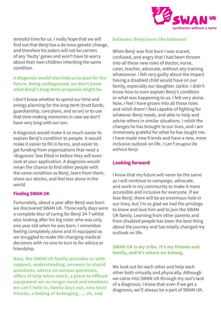

stressful time for us. I really hope that we will find out that Benji has a de novo genetic change, and therefore his sisters will not be carriers of any 'faulty' genes and won't have to worry about their own children inheriting the same condition.

### **A diagnosis would also help us to plan for the future. Being undiagnosed, we don't know what Benji's long-term prognosis might be.**

I don't know whether to spend our time and energy planning for the long-term (trust funds, guardianship, care plans, and so on) or to use that time making memories in case we don't have very long with our son.

A diagnosis would make it so much easier to explain Benji's condition to people. It would make it easier to fill in forms, and easier to get funding from organisations that need a 'diagnosis' box filled in before they will even look at your application. A diagnosis would mean the chance to find other people with the same condition as Benji, learn from them, share our stories, and feel less alone in the world.

#### **Finding SWAN UK**

Fortunately, about a year after Benji was born we discovered SWAN UK. Those early days were a complete blur of caring for Benji 24-7 whilst also looking after his big sister who was only one year old when he was born. I remember feeling completely alone and ill-equipped as we struggled to make life-changing medical decisions with no-one to turn to for advice or friendship.

**Now, the SWAN UK family provides us with support, understanding, answers to stupid questions, advice on serious questions, offers of help when stuck, a place to offload equipment we no longer need and emotions we can't hold in, family days out, new local friends, a feeling of belonging, … oh, and** 

#### **balloons! Benji loves the balloons!**

When Benji was first born I was scared, confused, and angry that I had been thrown into all these new roles of doctor, nurse, carer, teacher, advocate, without any training whatsoever. I felt very guilty about the impact having a disabled child would have on our family, especially our daughter Jackie. I didn't know how to even explain Benji's condition or what was happening to us. I felt very alone. Now, I feel I have grown into all those roles and relish them! I feel capable of fighting for whatever Benji needs, and able to help and advise others in similar situations. I relish the changes he has brought to our lives, and I am immensely grateful for what he has taught me. I have made new friends and have a new, more inclusive outlook on life. I can't imagine life without Benji.

#### **Looking forward**

I know that my future will never be the same as I will continue to campaign, advocate, and work in my community to make it more accessible and inclusive for everyone. If we lose Benji, there will be an enormous hole in our lives, but I'm so glad we had the privilege to know and love him and to join the SWAN UK family. Learning from other parents and from disabled people has been the best thing about the journey and has totally changed my outlook on life.

#### **SWAN UK is my tribe. It's my friends and family, and it's where we belong.**

We look out for each other and help each other both virtually and physically. Although we came into SWAN UK through my son's lack of a diagnosis, I know that even if we get a diagnosis, we'll always be a part of SWAN UK.